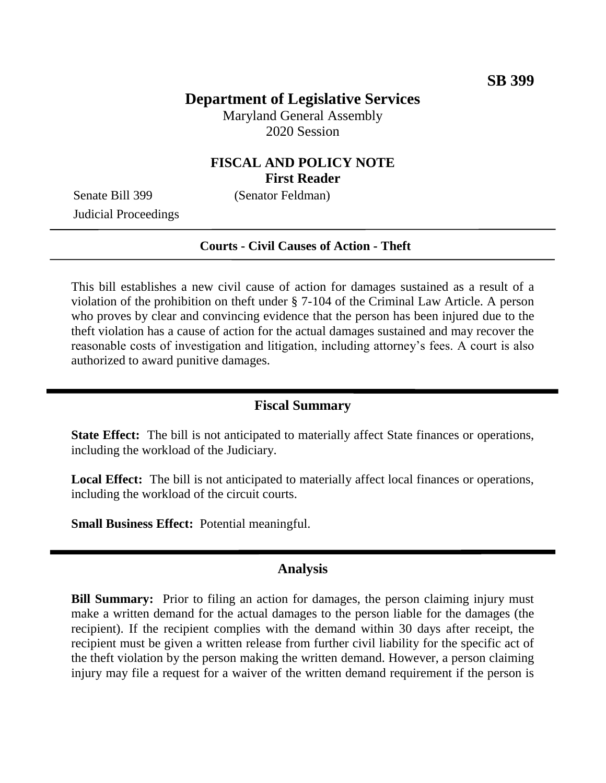# **Department of Legislative Services**

Maryland General Assembly 2020 Session

# **FISCAL AND POLICY NOTE First Reader**

Judicial Proceedings

Senate Bill 399 (Senator Feldman)

#### **Courts - Civil Causes of Action - Theft**

This bill establishes a new civil cause of action for damages sustained as a result of a violation of the prohibition on theft under § 7-104 of the Criminal Law Article. A person who proves by clear and convincing evidence that the person has been injured due to the theft violation has a cause of action for the actual damages sustained and may recover the reasonable costs of investigation and litigation, including attorney's fees. A court is also authorized to award punitive damages.

# **Fiscal Summary**

**State Effect:** The bill is not anticipated to materially affect State finances or operations, including the workload of the Judiciary.

Local Effect: The bill is not anticipated to materially affect local finances or operations, including the workload of the circuit courts.

**Small Business Effect:** Potential meaningful.

#### **Analysis**

**Bill Summary:** Prior to filing an action for damages, the person claiming injury must make a written demand for the actual damages to the person liable for the damages (the recipient). If the recipient complies with the demand within 30 days after receipt, the recipient must be given a written release from further civil liability for the specific act of the theft violation by the person making the written demand. However, a person claiming injury may file a request for a waiver of the written demand requirement if the person is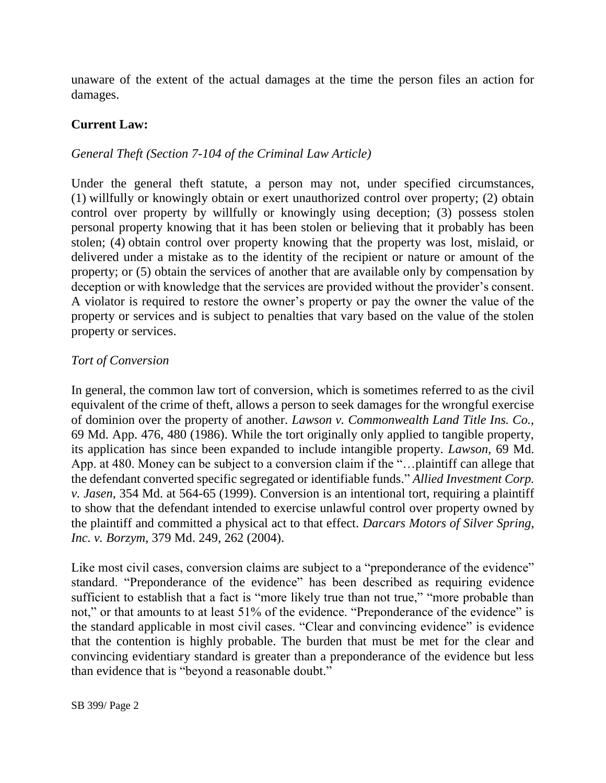unaware of the extent of the actual damages at the time the person files an action for damages.

### **Current Law:**

#### *General Theft (Section 7-104 of the Criminal Law Article)*

Under the general theft statute, a person may not, under specified circumstances, (1) willfully or knowingly obtain or exert unauthorized control over property; (2) obtain control over property by willfully or knowingly using deception; (3) possess stolen personal property knowing that it has been stolen or believing that it probably has been stolen; (4) obtain control over property knowing that the property was lost, mislaid, or delivered under a mistake as to the identity of the recipient or nature or amount of the property; or (5) obtain the services of another that are available only by compensation by deception or with knowledge that the services are provided without the provider's consent. A violator is required to restore the owner's property or pay the owner the value of the property or services and is subject to penalties that vary based on the value of the stolen property or services.

#### *Tort of Conversion*

In general, the common law tort of conversion, which is sometimes referred to as the civil equivalent of the crime of theft, allows a person to seek damages for the wrongful exercise of dominion over the property of another. *Lawson v. Commonwealth Land Title Ins. Co.,* 69 Md. App. 476, 480 (1986). While the tort originally only applied to tangible property, its application has since been expanded to include intangible property. *Lawson,* 69 Md. App. at 480. Money can be subject to a conversion claim if the "…plaintiff can allege that the defendant converted specific segregated or identifiable funds." *Allied Investment Corp. v. Jasen*, 354 Md. at 564-65 (1999). Conversion is an intentional tort, requiring a plaintiff to show that the defendant intended to exercise unlawful control over property owned by the plaintiff and committed a physical act to that effect. *Darcars Motors of Silver Spring, Inc. v. Borzym*, 379 Md. 249, 262 (2004).

Like most civil cases, conversion claims are subject to a "preponderance of the evidence" standard. "Preponderance of the evidence" has been described as requiring evidence sufficient to establish that a fact is "more likely true than not true," "more probable than not," or that amounts to at least 51% of the evidence. "Preponderance of the evidence" is the standard applicable in most civil cases. "Clear and convincing evidence" is evidence that the contention is highly probable. The burden that must be met for the clear and convincing evidentiary standard is greater than a preponderance of the evidence but less than evidence that is "beyond a reasonable doubt."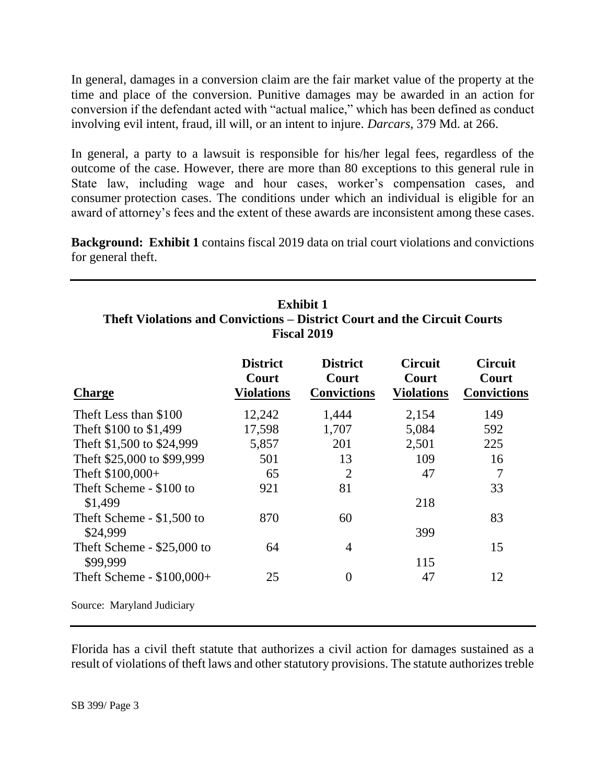In general, damages in a conversion claim are the fair market value of the property at the time and place of the conversion. Punitive damages may be awarded in an action for conversion if the defendant acted with "actual malice," which has been defined as conduct involving evil intent, fraud, ill will, or an intent to injure. *Darcars*, 379 Md. at 266.

In general, a party to a lawsuit is responsible for his/her legal fees, regardless of the outcome of the case. However, there are more than 80 exceptions to this general rule in State law, including wage and hour cases, worker's compensation cases, and consumer protection cases. The conditions under which an individual is eligible for an award of attorney's fees and the extent of these awards are inconsistent among these cases.

**Background: Exhibit 1** contains fiscal 2019 data on trial court violations and convictions for general theft.

| Exhibit 1                                                                |
|--------------------------------------------------------------------------|
| Theft Violations and Convictions – District Court and the Circuit Courts |
| <b>Fiscal 2019</b>                                                       |

|                                        | <b>District</b>            | <b>District</b>             | <b>Circuit</b>             | <b>Circuit</b>              |
|----------------------------------------|----------------------------|-----------------------------|----------------------------|-----------------------------|
| <b>Charge</b>                          | Court<br><b>Violations</b> | Court<br><b>Convictions</b> | Court<br><b>Violations</b> | Court<br><b>Convictions</b> |
| Theft Less than \$100                  | 12,242                     | 1,444                       | 2,154                      | 149                         |
| Theft \$100 to \$1,499                 | 17,598                     | 1,707                       | 5,084                      | 592                         |
| Theft \$1,500 to \$24,999              | 5,857                      | 201                         | 2,501                      | 225                         |
| Theft \$25,000 to \$99,999             | 501                        | 13                          | 109                        | 16                          |
| Theft \$100,000+                       | 65                         | $\overline{2}$              | 47                         | 7                           |
| Theft Scheme - \$100 to<br>\$1,499     | 921                        | 81                          | 218                        | 33                          |
| Theft Scheme - \$1,500 to<br>\$24,999  | 870                        | 60                          | 399                        | 83                          |
| Theft Scheme - \$25,000 to<br>\$99,999 | 64                         | 4                           | 115                        | 15                          |
| Theft Scheme - $$100,000+$             | 25                         | $\theta$                    | 47                         | 12                          |
| Source: Maryland Judiciary             |                            |                             |                            |                             |

Florida has a civil theft statute that authorizes a civil action for damages sustained as a result of violations of theft laws and other statutory provisions. The statute authorizes treble